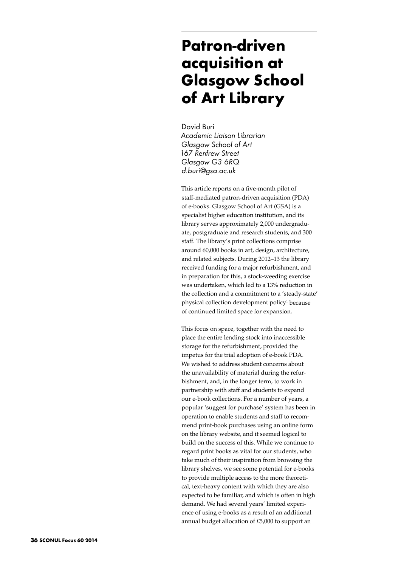## **Patron-driven acquisition at Glasgow School of Art Library**

David Buri *Academic Liaison Librarian Glasgow School of Art 167 Renfrew Street Glasgow G3 6RQ d.buri@gsa.ac.uk*

This article reports on a five-month pilot of staff-mediated patron-driven acquisition (PDA) of e-books. Glasgow School of Art (GSA) is a specialist higher education institution, and its library serves approximately 2,000 undergraduate, postgraduate and research students, and 300 staff. The library's print collections comprise around 60,000 books in art, design, architecture, and related subjects. During 2012–13 the library received funding for a major refurbishment, and in preparation for this, a stock-weeding exercise was undertaken, which led to a 13% reduction in the collection and a commitment to a 'steady-state' physical collection development policy<sup>1</sup> because of continued limited space for expansion.

This focus on space, together with the need to place the entire lending stock into inaccessible storage for the refurbishment, provided the impetus for the trial adoption of e-book PDA. We wished to address student concerns about the unavailability of material during the refurbishment, and, in the longer term, to work in partnership with staff and students to expand our e-book collections. For a number of years, a popular 'suggest for purchase' system has been in operation to enable students and staff to recommend print-book purchases using an online form on the library website, and it seemed logical to build on the success of this. While we continue to regard print books as vital for our students, who take much of their inspiration from browsing the library shelves, we see some potential for e-books to provide multiple access to the more theoretical, text-heavy content with which they are also expected to be familiar, and which is often in high demand. We had several years' limited experience of using e-books as a result of an additional annual budget allocation of £5,000 to support an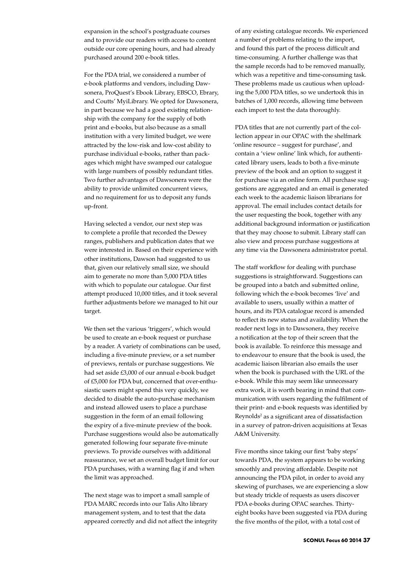expansion in the school's postgraduate courses and to provide our readers with access to content outside our core opening hours, and had already purchased around 200 e-book titles.

For the PDA trial, we considered a number of e-book platforms and vendors, including Dawsonera, ProQuest's Ebook Library, EBSCO, Ebrary, and Coutts' MyiLibrary. We opted for Dawsonera, in part because we had a good existing relationship with the company for the supply of both print and e-books, but also because as a small institution with a very limited budget, we were attracted by the low-risk and low-cost ability to purchase individual e-books, rather than packages which might have swamped our catalogue with large numbers of possibly redundant titles. Two further advantages of Dawsonera were the ability to provide unlimited concurrent views, and no requirement for us to deposit any funds up-front.

Having selected a vendor, our next step was to complete a profile that recorded the Dewey ranges, publishers and publication dates that we were interested in. Based on their experience with other institutions, Dawson had suggested to us that, given our relatively small size, we should aim to generate no more than 5,000 PDA titles with which to populate our catalogue. Our first attempt produced 10,000 titles, and it took several further adjustments before we managed to hit our target.

We then set the various 'triggers', which would be used to create an e-book request or purchase by a reader. A variety of combinations can be used, including a five-minute preview, or a set number of previews, rentals or purchase suggestions. We had set aside £3,000 of our annual e-book budget of £5,000 for PDA but, concerned that over-enthusiastic users might spend this very quickly, we decided to disable the auto-purchase mechanism and instead allowed users to place a purchase suggestion in the form of an email following the expiry of a five-minute preview of the book. Purchase suggestions would also be automatically generated following four separate five-minute previews. To provide ourselves with additional reassurance, we set an overall budget limit for our PDA purchases, with a warning flag if and when the limit was approached.

The next stage was to import a small sample of PDA MARC records into our Talis Alto library management system, and to test that the data appeared correctly and did not affect the integrity

of any existing catalogue records. We experienced a number of problems relating to the import, and found this part of the process difficult and time-consuming. A further challenge was that the sample records had to be removed manually, which was a repetitive and time-consuming task. These problems made us cautious when uploading the 5,000 PDA titles, so we undertook this in batches of 1,000 records, allowing time between each import to test the data thoroughly.

PDA titles that are not currently part of the collection appear in our OPAC with the shelfmark 'online resource – suggest for purchase', and contain a 'view online' link which, for authenticated library users, leads to both a five-minute preview of the book and an option to suggest it for purchase via an online form. All purchase suggestions are aggregated and an email is generated each week to the academic liaison librarians for approval. The email includes contact details for the user requesting the book, together with any additional background information or justification that they may choose to submit. Library staff can also view and process purchase suggestions at any time via the Dawsonera administrator portal.

The staff workflow for dealing with purchase suggestions is straightforward. Suggestions can be grouped into a batch and submitted online, following which the e-book becomes 'live' and available to users, usually within a matter of hours, and its PDA catalogue record is amended to reflect its new status and availability. When the reader next logs in to Dawsonera, they receive a notification at the top of their screen that the book is available. To reinforce this message and to endeavour to ensure that the book is used, the academic liaison librarian also emails the user when the book is purchased with the URL of the e-book. While this may seem like unnecessary extra work, it is worth bearing in mind that communication with users regarding the fulfilment of their print- and e-book requests was identified by Reynolds<sup>2</sup> as a significant area of dissatisfaction in a survey of patron-driven acquisitions at Texas A&M University.

Five months since taking our first 'baby steps' towards PDA, the system appears to be working smoothly and proving affordable. Despite not announcing the PDA pilot, in order to avoid any skewing of purchases, we are experiencing a slow but steady trickle of requests as users discover PDA e-books during OPAC searches. Thirtyeight books have been suggested via PDA during the five months of the pilot, with a total cost of